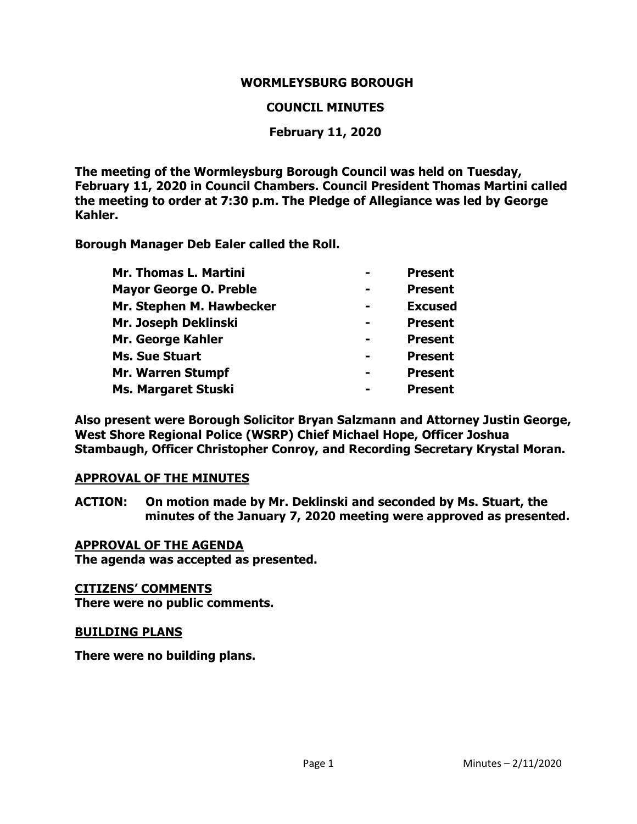## **WORMLEYSBURG BOROUGH**

#### **COUNCIL MINUTES**

## **February 11, 2020**

**The meeting of the Wormleysburg Borough Council was held on Tuesday, February 11, 2020 in Council Chambers. Council President Thomas Martini called the meeting to order at 7:30 p.m. The Pledge of Allegiance was led by George Kahler.**

**Borough Manager Deb Ealer called the Roll.**

| Mr. Thomas L. Martini         | <b>Present</b> |
|-------------------------------|----------------|
| <b>Mayor George O. Preble</b> | <b>Present</b> |
| Mr. Stephen M. Hawbecker      | <b>Excused</b> |
| Mr. Joseph Deklinski          | <b>Present</b> |
| Mr. George Kahler             | <b>Present</b> |
| <b>Ms. Sue Stuart</b>         | <b>Present</b> |
| <b>Mr. Warren Stumpf</b>      | <b>Present</b> |
| <b>Ms. Margaret Stuski</b>    | <b>Present</b> |

**Also present were Borough Solicitor Bryan Salzmann and Attorney Justin George, West Shore Regional Police (WSRP) Chief Michael Hope, Officer Joshua Stambaugh, Officer Christopher Conroy, and Recording Secretary Krystal Moran.** 

#### **APPROVAL OF THE MINUTES**

**ACTION: On motion made by Mr. Deklinski and seconded by Ms. Stuart, the minutes of the January 7, 2020 meeting were approved as presented.**

#### **APPROVAL OF THE AGENDA**

**The agenda was accepted as presented.** 

#### **CITIZENS' COMMENTS**

**There were no public comments.** 

#### **BUILDING PLANS**

**There were no building plans.**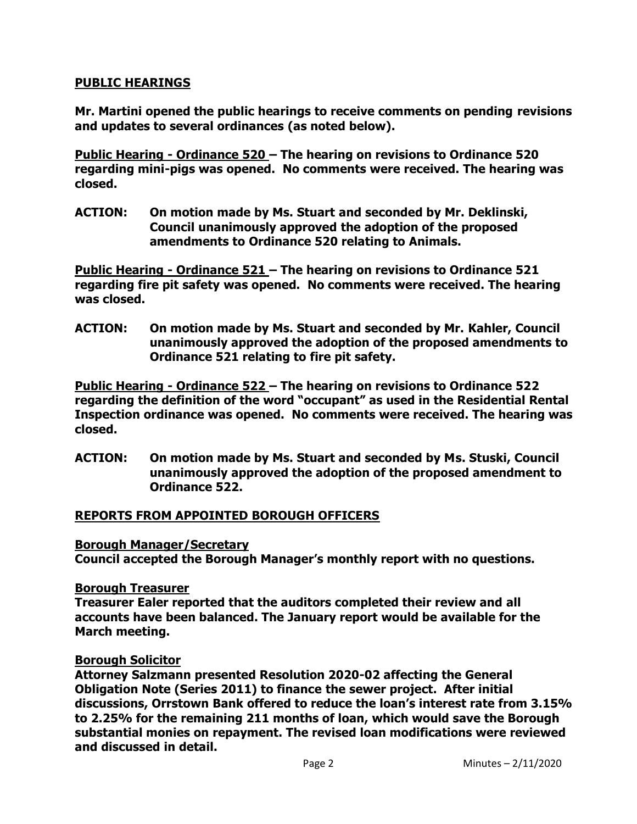## **PUBLIC HEARINGS**

**Mr. Martini opened the public hearings to receive comments on pending revisions and updates to several ordinances (as noted below).**

**Public Hearing - Ordinance 520 – The hearing on revisions to Ordinance 520 regarding mini-pigs was opened. No comments were received. The hearing was closed.**

**ACTION: On motion made by Ms. Stuart and seconded by Mr. Deklinski, Council unanimously approved the adoption of the proposed amendments to Ordinance 520 relating to Animals.**

**Public Hearing - Ordinance 521 – The hearing on revisions to Ordinance 521 regarding fire pit safety was opened. No comments were received. The hearing was closed.**

**ACTION: On motion made by Ms. Stuart and seconded by Mr. Kahler, Council unanimously approved the adoption of the proposed amendments to Ordinance 521 relating to fire pit safety.**

**Public Hearing - Ordinance 522 – The hearing on revisions to Ordinance 522 regarding the definition of the word "occupant" as used in the Residential Rental Inspection ordinance was opened. No comments were received. The hearing was closed.**

**ACTION: On motion made by Ms. Stuart and seconded by Ms. Stuski, Council unanimously approved the adoption of the proposed amendment to Ordinance 522.**

#### **REPORTS FROM APPOINTED BOROUGH OFFICERS**

#### **Borough Manager/Secretary**

**Council accepted the Borough Manager's monthly report with no questions.**

#### **Borough Treasurer**

**Treasurer Ealer reported that the auditors completed their review and all accounts have been balanced. The January report would be available for the March meeting.** 

## **Borough Solicitor**

**Attorney Salzmann presented Resolution 2020-02 affecting the General Obligation Note (Series 2011) to finance the sewer project. After initial discussions, Orrstown Bank offered to reduce the loan's interest rate from 3.15% to 2.25% for the remaining 211 months of loan, which would save the Borough substantial monies on repayment. The revised loan modifications were reviewed and discussed in detail.**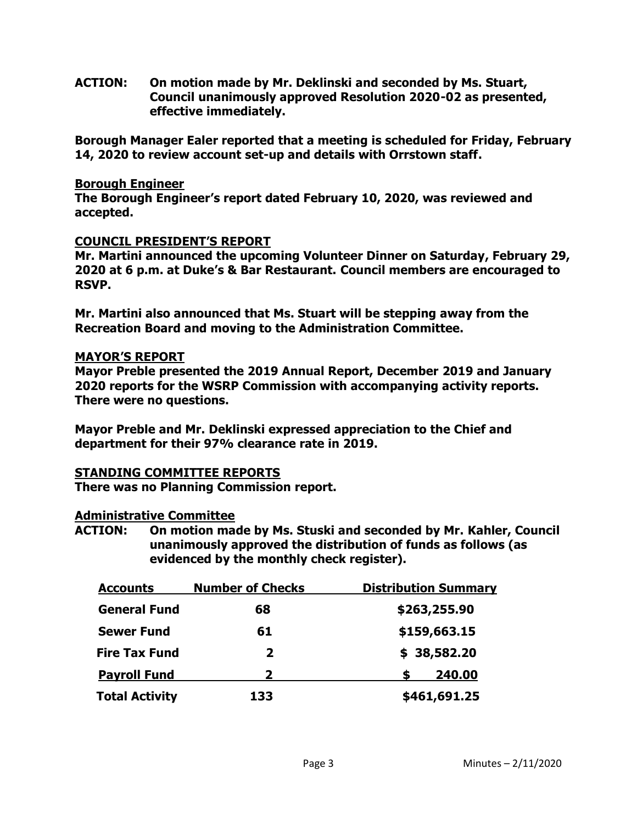**ACTION: On motion made by Mr. Deklinski and seconded by Ms. Stuart, Council unanimously approved Resolution 2020-02 as presented, effective immediately.**

**Borough Manager Ealer reported that a meeting is scheduled for Friday, February 14, 2020 to review account set-up and details with Orrstown staff.** 

#### **Borough Engineer**

**The Borough Engineer's report dated February 10, 2020, was reviewed and accepted.**

### **COUNCIL PRESIDENT'S REPORT**

**Mr. Martini announced the upcoming Volunteer Dinner on Saturday, February 29, 2020 at 6 p.m. at Duke's & Bar Restaurant. Council members are encouraged to RSVP.** 

**Mr. Martini also announced that Ms. Stuart will be stepping away from the Recreation Board and moving to the Administration Committee.**

### **MAYOR'S REPORT**

**Mayor Preble presented the 2019 Annual Report, December 2019 and January 2020 reports for the WSRP Commission with accompanying activity reports. There were no questions.** 

**Mayor Preble and Mr. Deklinski expressed appreciation to the Chief and department for their 97% clearance rate in 2019.**

## **STANDING COMMITTEE REPORTS**

**There was no Planning Commission report.** 

## **Administrative Committee**

**ACTION: On motion made by Ms. Stuski and seconded by Mr. Kahler, Council unanimously approved the distribution of funds as follows (as evidenced by the monthly check register).**

| <b>Accounts</b>       | <b>Number of Checks</b> | <b>Distribution Summary</b> |  |
|-----------------------|-------------------------|-----------------------------|--|
| <b>General Fund</b>   | 68                      | \$263,255.90                |  |
| <b>Sewer Fund</b>     | 61                      | \$159,663.15                |  |
| <b>Fire Tax Fund</b>  | $\mathbf{2}$            | \$38,582.20                 |  |
| <b>Payroll Fund</b>   | 2                       | 240.00<br>S                 |  |
| <b>Total Activity</b> | 133                     | \$461,691.25                |  |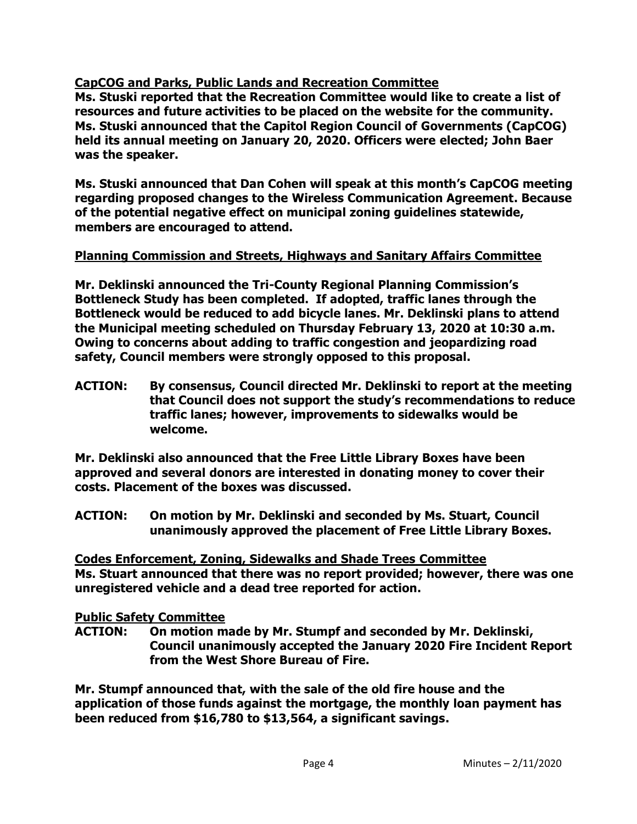# **CapCOG and Parks, Public Lands and Recreation Committee**

**Ms. Stuski reported that the Recreation Committee would like to create a list of resources and future activities to be placed on the website for the community. Ms. Stuski announced that the Capitol Region Council of Governments (CapCOG) held its annual meeting on January 20, 2020. Officers were elected; John Baer was the speaker.**

**Ms. Stuski announced that Dan Cohen will speak at this month's CapCOG meeting regarding proposed changes to the Wireless Communication Agreement. Because of the potential negative effect on municipal zoning guidelines statewide, members are encouraged to attend.** 

## **Planning Commission and Streets, Highways and Sanitary Affairs Committee**

**Mr. Deklinski announced the Tri-County Regional Planning Commission's Bottleneck Study has been completed. If adopted, traffic lanes through the Bottleneck would be reduced to add bicycle lanes. Mr. Deklinski plans to attend the Municipal meeting scheduled on Thursday February 13, 2020 at 10:30 a.m. Owing to concerns about adding to traffic congestion and jeopardizing road safety, Council members were strongly opposed to this proposal.** 

**ACTION: By consensus, Council directed Mr. Deklinski to report at the meeting that Council does not support the study's recommendations to reduce traffic lanes; however, improvements to sidewalks would be welcome.**

**Mr. Deklinski also announced that the Free Little Library Boxes have been approved and several donors are interested in donating money to cover their costs. Placement of the boxes was discussed.** 

**ACTION: On motion by Mr. Deklinski and seconded by Ms. Stuart, Council unanimously approved the placement of Free Little Library Boxes.** 

**Codes Enforcement, Zoning, Sidewalks and Shade Trees Committee Ms. Stuart announced that there was no report provided; however, there was one unregistered vehicle and a dead tree reported for action.** 

## **Public Safety Committee**

**ACTION: On motion made by Mr. Stumpf and seconded by Mr. Deklinski, Council unanimously accepted the January 2020 Fire Incident Report from the West Shore Bureau of Fire.**

**Mr. Stumpf announced that, with the sale of the old fire house and the application of those funds against the mortgage, the monthly loan payment has been reduced from \$16,780 to \$13,564, a significant savings.**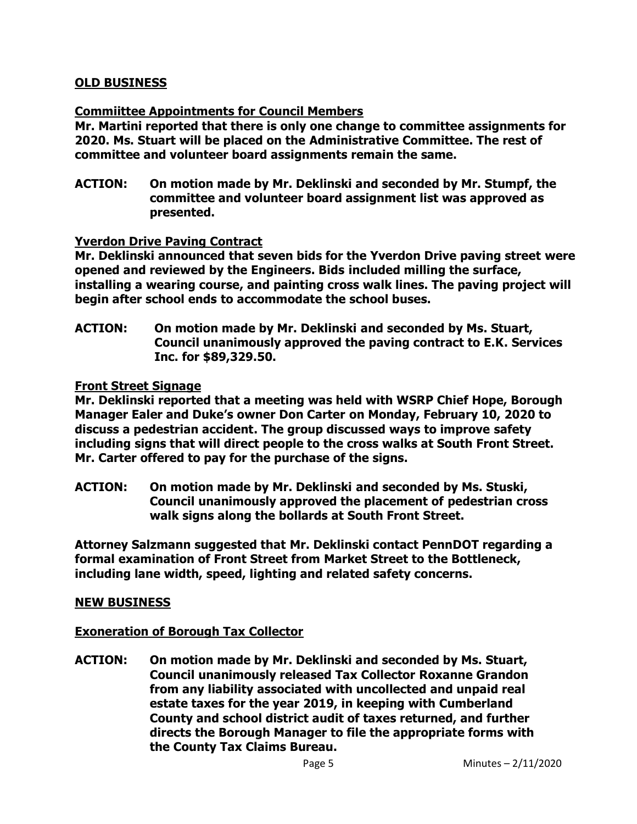## **OLD BUSINESS**

## **Commiittee Appointments for Council Members**

**Mr. Martini reported that there is only one change to committee assignments for 2020. Ms. Stuart will be placed on the Administrative Committee. The rest of committee and volunteer board assignments remain the same.**

**ACTION: On motion made by Mr. Deklinski and seconded by Mr. Stumpf, the committee and volunteer board assignment list was approved as presented.**

### **Yverdon Drive Paving Contract**

**Mr. Deklinski announced that seven bids for the Yverdon Drive paving street were opened and reviewed by the Engineers. Bids included milling the surface, installing a wearing course, and painting cross walk lines. The paving project will begin after school ends to accommodate the school buses.**

**ACTION: On motion made by Mr. Deklinski and seconded by Ms. Stuart, Council unanimously approved the paving contract to E.K. Services Inc. for \$89,329.50.**

### **Front Street Signage**

**Mr. Deklinski reported that a meeting was held with WSRP Chief Hope, Borough Manager Ealer and Duke's owner Don Carter on Monday, February 10, 2020 to discuss a pedestrian accident. The group discussed ways to improve safety including signs that will direct people to the cross walks at South Front Street. Mr. Carter offered to pay for the purchase of the signs.**

**ACTION: On motion made by Mr. Deklinski and seconded by Ms. Stuski, Council unanimously approved the placement of pedestrian cross walk signs along the bollards at South Front Street.** 

**Attorney Salzmann suggested that Mr. Deklinski contact PennDOT regarding a formal examination of Front Street from Market Street to the Bottleneck, including lane width, speed, lighting and related safety concerns.** 

#### **NEW BUSINESS**

## **Exoneration of Borough Tax Collector**

**ACTION: On motion made by Mr. Deklinski and seconded by Ms. Stuart, Council unanimously released Tax Collector Roxanne Grandon from any liability associated with uncollected and unpaid real estate taxes for the year 2019, in keeping with Cumberland County and school district audit of taxes returned, and further directs the Borough Manager to file the appropriate forms with the County Tax Claims Bureau.**